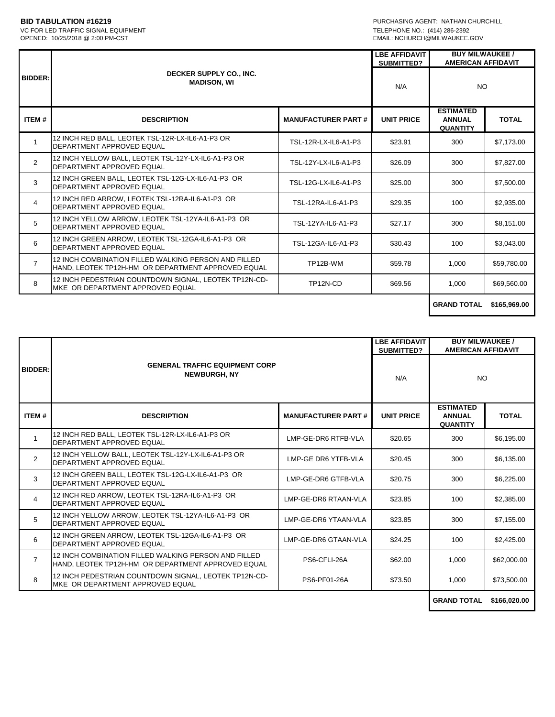VC FOR LED TRAFFIC SIGNAL EQUIPMENT<br>OPENED: 10/25/2018 @ 2:00 PM-CST

**BID TABULATION #16219**<br>
VC FOR LED TRAFFIC SIGNAL EQUIPMENT<br>
VC FOR LED TRAFFIC SIGNAL EQUIPMENT EMAIL: NCHURCH@MILWAUKEE.GOV

|                |                                                                                                            | <b>LBE AFFIDAVIT</b>      |                   | <b>BUY MILWAUKEE /</b><br><b>AMERICAN AFFIDAVIT</b>  |              |
|----------------|------------------------------------------------------------------------------------------------------------|---------------------------|-------------------|------------------------------------------------------|--------------|
| <b>BIDDER:</b> | DECKER SUPPLY CO., INC.<br><b>MADISON, WI</b>                                                              |                           | N/A               | <b>NO</b>                                            |              |
| ITEM#          | <b>DESCRIPTION</b>                                                                                         | <b>MANUFACTURER PART#</b> | <b>UNIT PRICE</b> | <b>ESTIMATED</b><br><b>ANNUAL</b><br><b>QUANTITY</b> | <b>TOTAL</b> |
| $\mathbf{1}$   | 12 INCH RED BALL. LEOTEK TSL-12R-LX-IL6-A1-P3 OR<br>DEPARTMENT APPROVED EQUAL                              | TSL-12R-LX-IL6-A1-P3      | \$23.91           | 300                                                  | \$7,173.00   |
| $\overline{2}$ | 12 INCH YELLOW BALL, LEOTEK TSL-12Y-LX-IL6-A1-P3 OR<br>DEPARTMENT APPROVED EQUAL                           | TSL-12Y-LX-IL6-A1-P3      | \$26.09           | 300                                                  | \$7,827.00   |
| 3              | 12 INCH GREEN BALL, LEOTEK TSL-12G-LX-IL6-A1-P3 OR<br>DEPARTMENT APPROVED EQUAL                            | TSL-12G-LX-IL6-A1-P3      | \$25.00           | 300                                                  | \$7,500.00   |
| $\overline{4}$ | 12 INCH RED ARROW. LEOTEK TSL-12RA-IL6-A1-P3 OR<br>DEPARTMENT APPROVED EQUAL                               | TSL-12RA-IL6-A1-P3        | \$29.35           | 100                                                  | \$2,935.00   |
| 5              | 12 INCH YELLOW ARROW, LEOTEK TSL-12YA-IL6-A1-P3 OR<br>DEPARTMENT APPROVED EQUAL                            | TSL-12YA-IL6-A1-P3        | \$27.17           | 300                                                  | \$8.151.00   |
| 6              | 12 INCH GREEN ARROW, LEOTEK TSL-12GA-IL6-A1-P3 OR<br>DEPARTMENT APPROVED EQUAL                             | TSL-12GA-IL6-A1-P3        | \$30.43           | 100                                                  | \$3,043.00   |
| $\overline{7}$ | 12 INCH COMBINATION FILLED WALKING PERSON AND FILLED<br>HAND, LEOTEK TP12H-HM OR DEPARTMENT APPROVED EQUAL | TP12B-WM                  | \$59.78           | 1,000                                                | \$59,780.00  |
| 8              | 12 INCH PEDESTRIAN COUNTDOWN SIGNAL, LEOTEK TP12N-CD-<br>MKE OR DEPARTMENT APPROVED EQUAL                  | TP12N-CD                  | \$69.56           | 1.000                                                | \$69,560.00  |
|                |                                                                                                            |                           |                   | CRAND TOTAL                                          | eder nen nn. |

**GRAND TOTAL \$165,969.00**

 $\mathbf{L}$ 

|                |                                                                                                            |                           |                   | <b>BUY MILWAUKEE /</b><br><b>AMERICAN AFFIDAVIT</b>  |              |
|----------------|------------------------------------------------------------------------------------------------------------|---------------------------|-------------------|------------------------------------------------------|--------------|
| <b>BIDDER:</b> | <b>GENERAL TRAFFIC EQUIPMENT CORP</b><br><b>NEWBURGH, NY</b>                                               |                           | SUBMITTED?<br>N/A | NO.                                                  |              |
| ITEM#          | <b>DESCRIPTION</b>                                                                                         | <b>MANUFACTURER PART#</b> | <b>UNIT PRICE</b> | <b>ESTIMATED</b><br><b>ANNUAL</b><br><b>QUANTITY</b> | <b>TOTAL</b> |
| $\mathbf{1}$   | 12 INCH RED BALL, LEOTEK TSL-12R-LX-IL6-A1-P3 OR<br>DEPARTMENT APPROVED EQUAL                              | LMP-GE-DR6 RTFB-VLA       | \$20.65           | 300                                                  | \$6,195.00   |
| $\overline{2}$ | 12 INCH YELLOW BALL, LEOTEK TSL-12Y-LX-IL6-A1-P3 OR<br>DEPARTMENT APPROVED EQUAL                           | LMP-GE DR6 YTFB-VLA       | \$20.45           | 300                                                  | \$6,135.00   |
| 3              | 12 INCH GREEN BALL. LEOTEK TSL-12G-LX-IL6-A1-P3 OR<br>DEPARTMENT APPROVED EQUAL                            | LMP-GE-DR6 GTFB-VLA       | \$20.75           | 300                                                  | \$6,225.00   |
| $\overline{4}$ | 12 INCH RED ARROW. LEOTEK TSL-12RA-IL6-A1-P3 OR<br>DEPARTMENT APPROVED EQUAL                               | LMP-GE-DR6 RTAAN-VLA      | \$23.85           | 100                                                  | \$2,385.00   |
| 5              | 12 INCH YELLOW ARROW, LEOTEK TSL-12YA-IL6-A1-P3 OR<br>DEPARTMENT APPROVED EQUAL                            | LMP-GE-DR6 YTAAN-VLA      | \$23.85           | 300                                                  | \$7,155.00   |
| 6              | 12 INCH GREEN ARROW, LEOTEK TSL-12GA-IL6-A1-P3 OR<br>DEPARTMENT APPROVED EQUAL                             | LMP-GE-DR6 GTAAN-VLA      | \$24.25           | 100                                                  | \$2,425.00   |
| 7              | 12 INCH COMBINATION FILLED WALKING PERSON AND FILLED<br>HAND. LEOTEK TP12H-HM OR DEPARTMENT APPROVED EQUAL | PS6-CFLI-26A              | \$62.00           | 1,000                                                | \$62,000.00  |
| 8              | 12 INCH PEDESTRIAN COUNTDOWN SIGNAL, LEOTEK TP12N-CD-<br>MKE OR DEPARTMENT APPROVED EQUAL                  | PS6-PF01-26A              | \$73.50           | 1,000                                                | \$73,500.00  |
|                |                                                                                                            |                           |                   | <b>GRAND TOTAL</b>                                   | \$166,020.00 |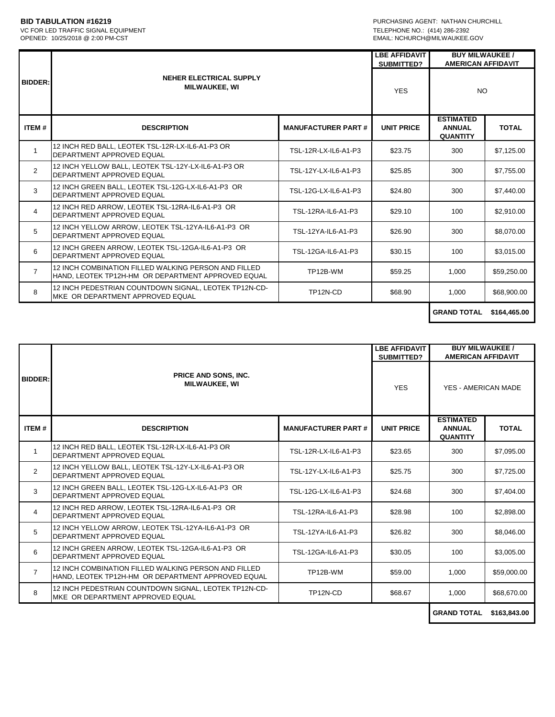## VC FOR LED TRAFFIC SIGNAL EQUIPMENT<br>OPENED: 10/25/2018 @ 2:00 PM-CST

**BID TABULATION #16219**<br>
VC FOR LED TRAFFIC SIGNAL EQUIPMENT<br>
VC FOR LED TRAFFIC SIGNAL EQUIPMENT EMAIL: NCHURCH@MILWAUKEE.GOV

|                |                                                                                                            |                           | <b>LBE AFFIDAVIT</b><br>SUBMITTED? | <b>BUY MILWAUKEE /</b><br><b>AMERICAN AFFIDAVIT</b>  |                |
|----------------|------------------------------------------------------------------------------------------------------------|---------------------------|------------------------------------|------------------------------------------------------|----------------|
| <b>BIDDER:</b> | NEHER ELECTRICAL SUPPLY<br><b>MILWAUKEE, WI</b>                                                            |                           | <b>YES</b>                         | NO                                                   |                |
| <b>ITEM#</b>   | <b>DESCRIPTION</b>                                                                                         | <b>MANUFACTURER PART#</b> | <b>UNIT PRICE</b>                  | <b>ESTIMATED</b><br><b>ANNUAL</b><br><b>QUANTITY</b> | <b>TOTAL</b>   |
| $\mathbf{1}$   | 12 INCH RED BALL. LEOTEK TSL-12R-LX-IL6-A1-P3 OR<br>DEPARTMENT APPROVED EQUAL                              | TSL-12R-LX-IL6-A1-P3      | \$23.75                            | 300                                                  | \$7,125.00     |
| $\overline{2}$ | 12 INCH YELLOW BALL, LEOTEK TSL-12Y-LX-IL6-A1-P3 OR<br>DEPARTMENT APPROVED EQUAL                           | TSL-12Y-LX-IL6-A1-P3      | \$25.85                            | 300                                                  | \$7.755.00     |
| 3              | 12 INCH GREEN BALL, LEOTEK TSL-12G-LX-IL6-A1-P3 OR<br>DEPARTMENT APPROVED EQUAL                            | TSL-12G-LX-IL6-A1-P3      | \$24.80                            | 300                                                  | \$7,440.00     |
| 4              | 12 INCH RED ARROW, LEOTEK TSL-12RA-IL6-A1-P3 OR<br>DEPARTMENT APPROVED EQUAL                               | TSL-12RA-IL6-A1-P3        | \$29.10                            | 100                                                  | \$2.910.00     |
| 5              | 12 INCH YELLOW ARROW, LEOTEK TSL-12YA-IL6-A1-P3 OR<br>DEPARTMENT APPROVED EQUAL                            | TSL-12YA-IL6-A1-P3        | \$26.90                            | 300                                                  | \$8,070.00     |
| 6              | 12 INCH GREEN ARROW, LEOTEK TSL-12GA-IL6-A1-P3 OR<br>DEPARTMENT APPROVED EQUAL                             | TSL-12GA-IL6-A1-P3        | \$30.15                            | 100                                                  | \$3,015.00     |
| $\overline{7}$ | 12 INCH COMBINATION FILLED WALKING PERSON AND FILLED<br>HAND. LEOTEK TP12H-HM OR DEPARTMENT APPROVED EQUAL | TP12B-WM                  | \$59.25                            | 1,000                                                | \$59,250.00    |
| 8              | 12 INCH PEDESTRIAN COUNTDOWN SIGNAL, LEOTEK TP12N-CD-<br>MKE OR DEPARTMENT APPROVED EQUAL                  | TP12N-CD                  | \$68.90                            | 1,000                                                | \$68,900.00    |
|                |                                                                                                            |                           |                                    | CRAND TOTAL                                          | $0.001$ are an |

**GRAND TOTAL \$164,465.00**

|                |                                                                                                            |                           | <b>BUY MILWAUKEE /</b><br><b>LBE AFFIDAVIT</b><br><b>AMERICAN AFFIDAVIT</b><br><b>SUBMITTED?</b> |                                                      |              |
|----------------|------------------------------------------------------------------------------------------------------------|---------------------------|--------------------------------------------------------------------------------------------------|------------------------------------------------------|--------------|
| <b>BIDDER:</b> | PRICE AND SONS, INC.<br><b>MILWAUKEE, WI</b>                                                               |                           | <b>YES</b>                                                                                       | YES - AMERICAN MADE                                  |              |
| <b>ITEM#</b>   | <b>DESCRIPTION</b>                                                                                         | <b>MANUFACTURER PART#</b> | <b>UNIT PRICE</b>                                                                                | <b>ESTIMATED</b><br><b>ANNUAL</b><br><b>QUANTITY</b> | <b>TOTAL</b> |
|                | 12 INCH RED BALL, LEOTEK TSL-12R-LX-IL6-A1-P3 OR<br>DEPARTMENT APPROVED EQUAL                              | TSL-12R-LX-IL6-A1-P3      | \$23.65                                                                                          | 300                                                  | \$7,095.00   |
| $\overline{2}$ | 12 INCH YELLOW BALL, LEOTEK TSL-12Y-LX-IL6-A1-P3 OR<br>DEPARTMENT APPROVED EQUAL                           | TSL-12Y-LX-IL6-A1-P3      | \$25.75                                                                                          | 300                                                  | \$7,725.00   |
| 3              | 12 INCH GREEN BALL, LEOTEK TSL-12G-LX-IL6-A1-P3 OR<br>DEPARTMENT APPROVED EQUAL                            | TSL-12G-LX-IL6-A1-P3      | \$24.68                                                                                          | 300                                                  | \$7,404.00   |
| 4              | 12 INCH RED ARROW, LEOTEK TSL-12RA-IL6-A1-P3 OR<br>DEPARTMENT APPROVED EQUAL                               | TSL-12RA-IL6-A1-P3        | \$28.98                                                                                          | 100                                                  | \$2,898.00   |
| 5              | 12 INCH YELLOW ARROW, LEOTEK TSL-12YA-IL6-A1-P3 OR<br>DEPARTMENT APPROVED EQUAL                            | TSL-12YA-IL6-A1-P3        | \$26.82                                                                                          | 300                                                  | \$8,046.00   |
| 6              | 12 INCH GREEN ARROW, LEOTEK TSL-12GA-IL6-A1-P3 OR<br>DEPARTMENT APPROVED EQUAL                             | TSL-12GA-IL6-A1-P3        | \$30.05                                                                                          | 100                                                  | \$3,005.00   |
| $\overline{7}$ | 12 INCH COMBINATION FILLED WALKING PERSON AND FILLED<br>HAND, LEOTEK TP12H-HM OR DEPARTMENT APPROVED EQUAL | TP12B-WM                  | \$59.00                                                                                          | 1,000                                                | \$59,000.00  |
| 8              | 12 INCH PEDESTRIAN COUNTDOWN SIGNAL, LEOTEK TP12N-CD-<br>MKE OR DEPARTMENT APPROVED EQUAL                  | TP12N-CD                  | \$68.67                                                                                          | 1.000                                                | \$68,670.00  |
|                |                                                                                                            |                           |                                                                                                  | <b>GRAND TOTAL</b>                                   | \$163,843.00 |